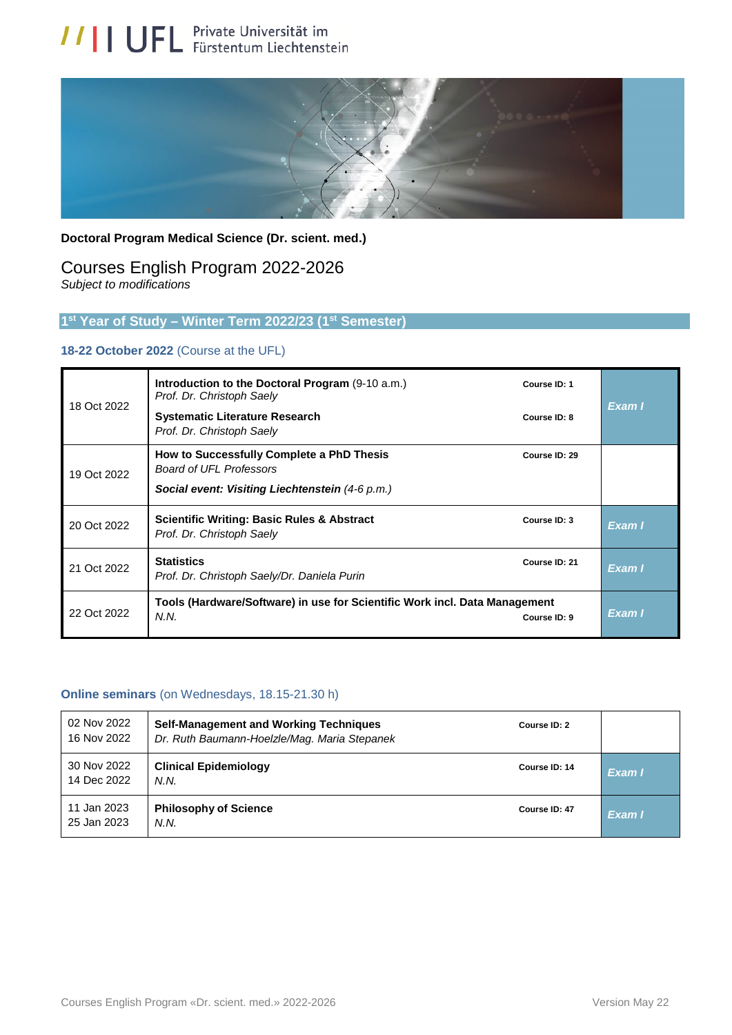

#### **Doctoral Program Medical Science (Dr. scient. med.)**

## Courses English Program 2022-2026 *Subject to modifications*

#### **1 st Year of Study – Winter Term 2022/23 (1st Semester)**

#### **18-22 October 2022** (Course at the UFL)

| 18 Oct 2022 | Introduction to the Doctoral Program (9-10 a.m.)<br>Prof. Dr. Christoph Saely<br><b>Systematic Literature Research</b><br>Prof. Dr. Christoph Saely | Course ID: 1<br>Course ID: 8 | Exam I |
|-------------|-----------------------------------------------------------------------------------------------------------------------------------------------------|------------------------------|--------|
| 19 Oct 2022 | How to Successfully Complete a PhD Thesis<br><b>Board of UFL Professors</b><br>Social event: Visiting Liechtenstein (4-6 p.m.)                      | Course ID: 29                |        |
| 20 Oct 2022 | <b>Scientific Writing: Basic Rules &amp; Abstract</b><br>Prof. Dr. Christoph Saely                                                                  | Course ID: 3                 | Exam I |
| 21 Oct 2022 | <b>Statistics</b><br>Prof. Dr. Christoph Saely/Dr. Daniela Purin                                                                                    | Course ID: 21                | Exam I |
| 22 Oct 2022 | Tools (Hardware/Software) in use for Scientific Work incl. Data Management<br>N.N.                                                                  | Course ID: 9                 | Exam I |

#### **Online seminars** (on Wednesdays, 18.15-21.30 h)

| 02 Nov 2022<br>16 Nov 2022 | <b>Self-Management and Working Techniques</b><br>Dr. Ruth Baumann-Hoelzle/Mag. Maria Stepanek | Course ID: 2  |        |
|----------------------------|-----------------------------------------------------------------------------------------------|---------------|--------|
| 30 Nov 2022<br>14 Dec 2022 | <b>Clinical Epidemiology</b><br>N.N.                                                          | Course ID: 14 | Exam I |
| 11 Jan 2023<br>25 Jan 2023 | <b>Philosophy of Science</b><br>N.N.                                                          | Course ID: 47 | Exam I |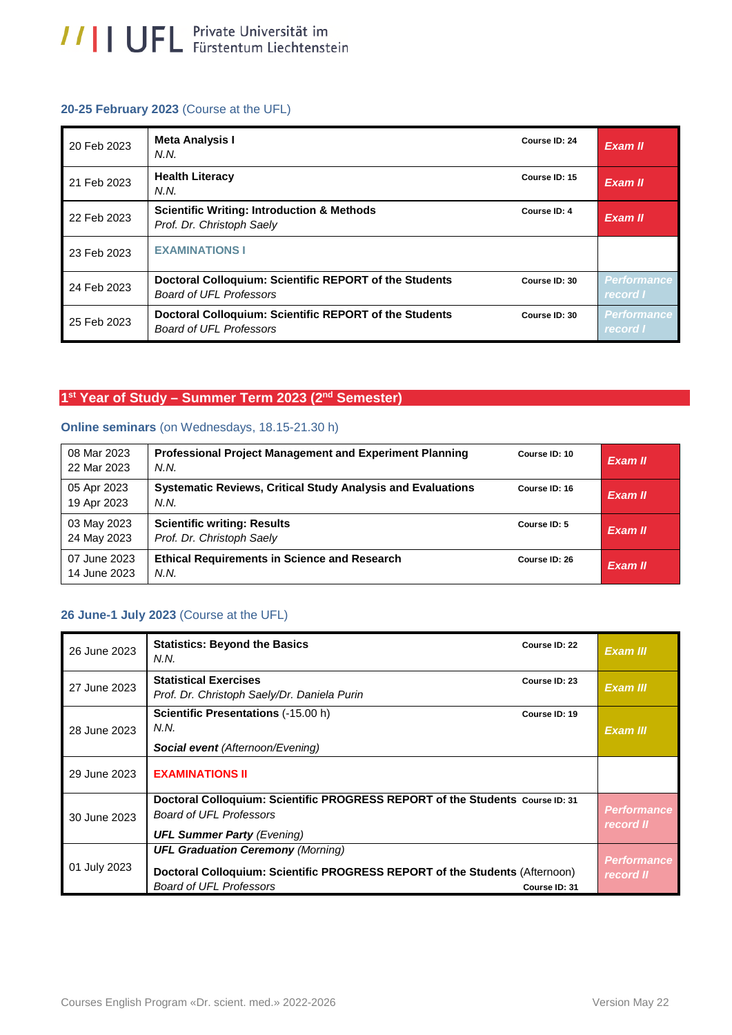#### **20-25 February 2023** (Course at the UFL)

| 20 Feb 2023 | <b>Meta Analysis I</b><br>N.N.                                                           | Course ID: 24 | Exam II                        |
|-------------|------------------------------------------------------------------------------------------|---------------|--------------------------------|
| 21 Feb 2023 | <b>Health Literacy</b><br>N.N.                                                           | Course ID: 15 | Exam II                        |
| 22 Feb 2023 | <b>Scientific Writing: Introduction &amp; Methods</b><br>Prof. Dr. Christoph Saely       | Course ID: 4  | Exam II                        |
| 23 Feb 2023 | <b>EXAMINATIONS I</b>                                                                    |               |                                |
| 24 Feb 2023 | Doctoral Colloquium: Scientific REPORT of the Students<br><b>Board of UFL Professors</b> | Course ID: 30 | <b>Performance</b><br>record I |
| 25 Feb 2023 | Doctoral Colloquium: Scientific REPORT of the Students<br><b>Board of UFL Professors</b> | Course ID: 30 | <b>Performance</b><br>record I |

## **1 st Year of Study – Summer Term 2023 (2nd Semester)**

# **Online seminars** (on Wednesdays, 18.15-21.30 h)

| 08 Mar 2023<br>22 Mar 2023   | <b>Professional Project Management and Experiment Planning</b><br>N.N.     | Course ID: 10 | Exam II |
|------------------------------|----------------------------------------------------------------------------|---------------|---------|
| 05 Apr 2023<br>19 Apr 2023   | <b>Systematic Reviews, Critical Study Analysis and Evaluations</b><br>N.N. | Course ID: 16 | Exam II |
| 03 May 2023<br>24 May 2023   | <b>Scientific writing: Results</b><br>Prof. Dr. Christoph Saely            | Course ID: 5  | Exam II |
| 07 June 2023<br>14 June 2023 | <b>Ethical Requirements in Science and Research</b><br>N.N.                | Course ID: 26 | Exam II |

## **26 June-1 July 2023** (Course at the UFL)

| 26 June 2023 | <b>Statistics: Beyond the Basics</b><br>N.N.                                                                                                              | Course ID: 22 | Exam III                        |
|--------------|-----------------------------------------------------------------------------------------------------------------------------------------------------------|---------------|---------------------------------|
| 27 June 2023 | <b>Statistical Exercises</b><br>Prof. Dr. Christoph Saely/Dr. Daniela Purin                                                                               | Course ID: 23 | Exam III                        |
| 28 June 2023 | <b>Scientific Presentations (-15.00 h)</b><br>N.N.<br><b>Social event (Afternoon/Evening)</b>                                                             | Course ID: 19 | Exam III                        |
| 29 June 2023 | <b>EXAMINATIONS II</b>                                                                                                                                    |               |                                 |
| 30 June 2023 | Doctoral Colloquium: Scientific PROGRESS REPORT of the Students Course ID: 31<br><b>Board of UFL Professors</b><br><b>UFL Summer Party (Evening)</b>      |               | <b>Performance</b><br>record II |
| 01 July 2023 | <b>UFL Graduation Ceremony (Morning)</b><br>Doctoral Colloquium: Scientific PROGRESS REPORT of the Students (Afternoon)<br><b>Board of UFL Professors</b> | Course ID: 31 | <b>Performance</b><br>record II |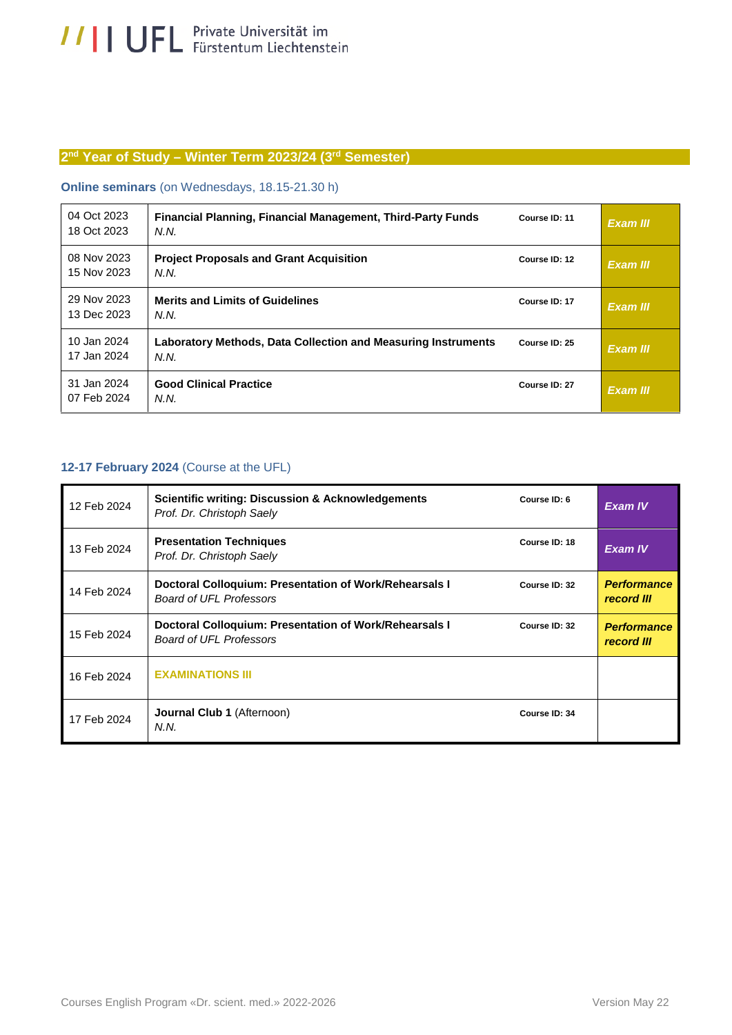#### **2 nd Year of Study – Winter Term 2023/24 (3rd Semester)**

#### **Online seminars** (on Wednesdays, 18.15-21.30 h)

| 04 Oct 2023<br>18 Oct 2023 | <b>Financial Planning, Financial Management, Third-Party Funds</b><br>N.N.   | Course ID: 11 | Exam III |
|----------------------------|------------------------------------------------------------------------------|---------------|----------|
| 08 Nov 2023<br>15 Nov 2023 | <b>Project Proposals and Grant Acquisition</b><br>N.N.                       | Course ID: 12 | Exam III |
| 29 Nov 2023<br>13 Dec 2023 | <b>Merits and Limits of Guidelines</b><br>N.N.                               | Course ID: 17 | Exam III |
| 10 Jan 2024<br>17 Jan 2024 | <b>Laboratory Methods, Data Collection and Measuring Instruments</b><br>N.N. | Course ID: 25 | Exam III |
| 31 Jan 2024<br>07 Feb 2024 | <b>Good Clinical Practice</b><br>N.N.                                        | Course ID: 27 | Exam III |

#### **12-17 February 2024** (Course at the UFL)

| 12 Feb 2024 | <b>Scientific writing: Discussion &amp; Acknowledgements</b><br>Prof. Dr. Christoph Saely | Course ID: 6  | <b>Exam IV</b>                   |
|-------------|-------------------------------------------------------------------------------------------|---------------|----------------------------------|
| 13 Feb 2024 | <b>Presentation Techniques</b><br>Prof. Dr. Christoph Saely                               | Course ID: 18 | <b>Exam IV</b>                   |
| 14 Feb 2024 | Doctoral Colloquium: Presentation of Work/Rehearsals I<br><b>Board of UFL Professors</b>  | Course ID: 32 | <b>Performance</b><br>record III |
| 15 Feb 2024 | Doctoral Colloquium: Presentation of Work/Rehearsals I<br><b>Board of UFL Professors</b>  | Course ID: 32 | <b>Performance</b><br>record III |
| 16 Feb 2024 | <b>EXAMINATIONS III</b>                                                                   |               |                                  |
| 17 Feb 2024 | <b>Journal Club 1 (Afternoon)</b><br>N.N.                                                 | Course ID: 34 |                                  |